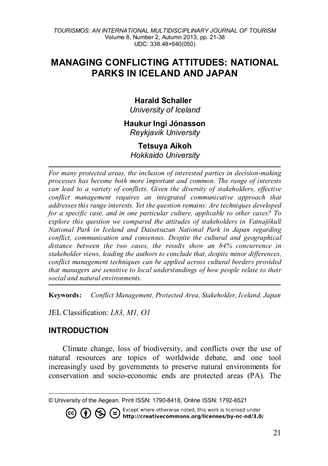## **MANAGING CONFLICTING ATTITUDES: NATIONAL PARKS IN ICELAND AND JAPAN**

### **Harald Schaller**

*University of Iceland*

#### **Haukur Ingi Jónasson** *Reykjavik University*

# **Tetsuya Aikoh**

*Hokkaido University*

*For many protected areas, the inclusion of interested parties in decision-making processes has become both more important and common. The range of interests can lead to a variety of conflicts. Given the diversity of stakeholders, effective conflict management requires an integrated communicative approach that addresses this range interests. Yet the question remains: Are techniques developed for a specific case, and in one particular culture, applicable to other cases? To explore this question we compared the attitudes of stakeholders in Vatnajökull National Park in Iceland and Daisetsuzan National Park in Japan regarding conflict, communication and consensus. Despite the cultural and geographical distance between the two cases, the results show an 84% concurrence in stakeholder views, leading the authors to conclude that, despite minor differences, conflict management techniques can be applied across cultural borders provided that managers are sensitive to local understandings of how people relate to their social and natural environments.*

**Keywords:** *Conflict Management, Protected Area, Stakeholder, Iceland, Japan*

JEL Classification: *L83, M1, O1*

## **INTRODUCTION**

Climate change, loss of biodiversity, and conflicts over the use of natural resources are topics of worldwide debate, and one tool increasingly used by governments to preserve natural environments for conservation and socio-economic ends are protected areas (PA). The

Except where otherwise noted, this work is licensed under **1**  $\odot$   $\odot$   $\odot$  Except where otherwise noted, this work is licensed under<br>http://creativecommons.org/licenses/by-nc-nd/3.0/  $(cc)$ 

<span id="page-0-0"></span> $\overline{a}$ © University of the Aegean. Print ISSN: 1790-8418, Online ISSN: 1792-6521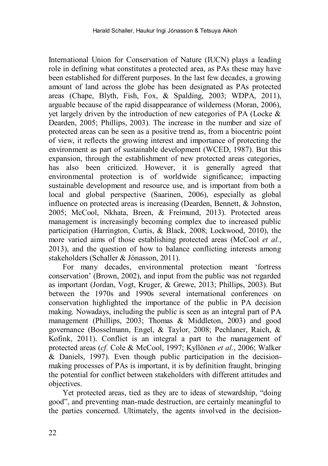International Union for Conservation of Nature (IUCN) plays a leading role in defining what constitutes a protected area, as PAs these may have been established for different purposes. In the last few decades, a growing amount of land across the globe has been designated as PAs protected areas [\(Chape, Blyth, Fish, Fox, & Spalding, 2003;](#page-14-0) [WDPA, 2011\)](#page-17-0), arguable because of the rapid disappearance of wilderness [\(Moran, 2006\)](#page-15-0), yet largely driven by the introduction of new categories of PA [\(Locke &](#page-15-1)  [Dearden, 2005;](#page-15-1) [Phillips, 2003\)](#page-16-0). The increase in the number and size of protected areas can be seen as a positive trend as, from a biocentric point of view, it reflects the growing interest and importance of protecting the environment as part of sustainable development [\(WCED, 1987\)](#page-17-1). But this expansion, through the establishment of new protected areas categories, has also been criticized. However, it is generally agreed that environmental protection is of worldwide significance; impacting sustainable development and resource use, and is important from both a local and global perspective [\(Saarinen, 2006\)](#page-16-1), especially as global influence on protected areas is increasing [\(Dearden, Bennett, & Johnston,](#page-14-1)  [2005;](#page-14-1) [McCool, Nkhata, Breen, & Freimund, 2013\)](#page-15-2). Protected areas management is increasingly becoming complex due to increased public participation [\(Harrington, Curtis, & Black, 2008;](#page-14-2) [Lockwood, 2010\)](#page-15-3), the more varied aims of those establishing protected areas [\(McCool](#page-15-2) *et al.*, 2013), and the question of how to balance conflicting interests among stakeholders [\(Schaller & Jónasson, 2011\)](#page-16-2).

For many decades, environmental protection meant 'fortress conservation' [\(Brown, 2002\)](#page-14-3), and input from the public was not regarded as important [\(Jordan, Vogt, Kruger, & Grewe, 2013;](#page-15-4) [Phillips, 2003\)](#page-16-0). But between the 1970s and 1990s several international conferences on conservation highlighted the importance of the public in PA decision making. Nowadays, including the public is seen as an integral part of PA management [\(Phillips, 2003;](#page-16-0) [Thomas & Middleton, 2003\)](#page-16-3) and good governance [\(Bosselmann, Engel, & Taylor, 2008;](#page-14-4) [Pechlaner, Raich, &](#page-16-4)  [Kofink, 2011\)](#page-16-4). Conflict is an integral a part to the management of protected areas (*cf.* [Cole & McCool, 1997;](#page-14-5) [Kyllönen](#page-15-5) *et al.*, 2006; [Walker](#page-17-2)  [& Daniels, 1997\)](#page-17-2). Even though public participation in the decisionmaking processes of PAs is important, it is by definition fraught, bringing the potential for conflict between stakeholders with different attitudes and objectives.

Yet protected areas, tied as they are to ideas of stewardship, "doing good", and preventing man-made destruction, are certainly meaningful to the parties concerned. Ultimately, the agents involved in the decision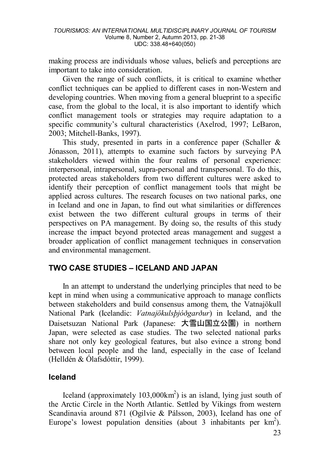making process are individuals whose values, beliefs and perceptions are important to take into consideration.

Given the range of such conflicts, it is critical to examine whether conflict techniques can be applied to different cases in non-Western and developing countries. When moving from a general blueprint to a specific case, from the global to the local, it is also important to identify which conflict management tools or strategies may require adaptation to a specific community's cultural characteristics [\(Axelrod, 1997;](#page-14-6) [LeBaron,](#page-15-6)  [2003;](#page-15-6) [Mitchell-Banks, 1997\)](#page-15-7).

This study, presented in parts in a conference paper (Schaller  $\&$ Jónasson, 2011), attempts to examine such factors by surveying PA stakeholders viewed within the four realms of personal experience: interpersonal, intrapersonal, supra-personal and transpersonal. To do this, protected areas stakeholders from two different cultures were asked to identify their perception of conflict management tools that might be applied across cultures. The research focuses on two national parks, one in Iceland and one in Japan, to find out what similarities or differences exist between the two different cultural groups in terms of their perspectives on PA management. By doing so, the results of this study increase the impact beyond protected areas management and suggest a broader application of conflict management techniques in conservation and environmental management.

### **TWO CASE STUDIES – ICELAND AND JAPAN**

In an attempt to understand the underlying principles that need to be kept in mind when using a communicative approach to manage conflicts between stakeholders and build consensus among them, the Vatnajökull National Park (Icelandic: *Vatnajökulsþjóðgarður*) in Iceland, and the Daisetsuzan National Park (Japanese: 大雪山国立公園) in northern Japan, were selected as case studies. The two selected national parks share not only key geological features, but also evince a strong bond between local people and the land, especially in the case of Iceland [\(Helldén & Ólafsdóttir, 1999\)](#page-14-7).

#### **Iceland**

Iceland (approximately  $103,000 \text{km}^2$ ) is an island, lying just south of the Arctic Circle in the North Atlantic. Settled by Vikings from western Scandinavia around 871 [\(Ogilvie & Pálsson, 2003\)](#page-15-8), Iceland has one of Europe's lowest population densities (about 3 inhabitants per  $km^2$ ).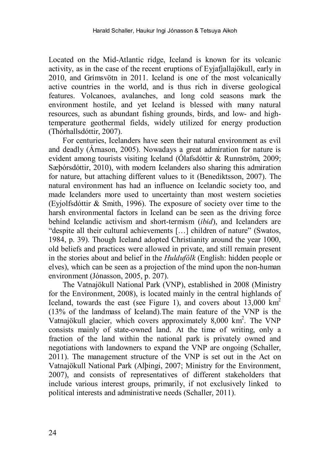Located on the Mid-Atlantic ridge, Iceland is known for its volcanic activity, as in the case of the recent eruptions of Eyjafjallajökull, early in 2010, and Grímsvötn in 2011. Iceland is one of the most volcanically active countries in the world, and is thus rich in diverse geological features. Volcanoes, avalanches, and long cold seasons mark the environment hostile, and yet Iceland is blessed with many natural resources, such as abundant fishing grounds, birds, and low- and hightemperature geothermal fields, widely utilized for energy production [\(Thórhallsdóttir, 2007\)](#page-16-5).

For centuries, Icelanders have seen their natural environment as evil and deadly [\(Árnason, 2005\)](#page-14-8). Nowadays a great admiration for nature is evident among tourists visiting Iceland [\(Ólafsdóttir & Runnström, 2009;](#page-15-9)  [Sæþórsdóttir, 2010\)](#page-16-6), with modern Icelanders also sharing this admiration for nature, but attaching different values to it [\(Benediktsson, 2007\)](#page-14-9). The natural environment has had an influence on Icelandic society too, and made Icelanders more used to uncertainty than most western societies [\(Eyjolfsdóttir & Smith, 1996\)](#page-14-10). The exposure of society over time to the harsh environmental factors in Iceland can be seen as the driving force behind Icelandic activism and short-termism (*[ibid](#page-14-2)*), and Icelanders are "despite all their cultural achievements […] children of nature" [\(Swatos,](#page-16-7)  1984, p. 39). Though Iceland adopted Christianity around the year 1000, old beliefs and practices were allowed in private, and still remain present in the stories about and belief in the *Huldufólk* (English: hidden people or elves), which can be seen as a projection of the mind upon the non-human environment [\(Jónasson, 2005,](#page-14-11) p. 207).

The Vatnajökull National Park (VNP), established in 2008 [\(Ministry](#page-15-10)  for the Environment, 2008), is located mainly in the central highlands of Iceland, towards the east (see Figure 1), and covers about 13,000 km<sup>2</sup> (13% of the landmass of Iceland).The main feature of the VNP is the Vatnajökull glacier, which covers approximately 8,000 km2 . The VNP consists mainly of state-owned land. At the time of writing, only a fraction of the land within the national park is privately owned and negotiations with landowners to expand the VNP are ongoing [\(Schaller,](#page-16-8)  2011). The management structure of the VNP is set out in the Act on Vatnajökull National Park [\(Alþingi, 2007;](#page-13-0) [Ministry for the Environment,](#page-15-11)  [2007\)](#page-15-11), and consists of representatives of different stakeholders that include various interest groups, primarily, if not exclusively linked to political interests and administrative needs [\(Schaller, 2011\)](#page-16-8).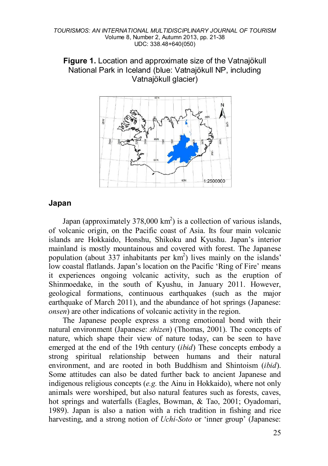



### **Japan**

Japan (approximately  $378,000 \text{ km}^2$ ) is a collection of various islands, of volcanic origin, on the Pacific coast of Asia. Its four main volcanic islands are Hokkaido, Honshu, Shikoku and Kyushu. Japan's interior mainland is mostly mountainous and covered with forest. The Japanese population (about 337 inhabitants per  $km<sup>2</sup>$ ) lives mainly on the islands' low coastal flatlands. Japan's location on the Pacific 'Ring of Fire' means it experiences ongoing volcanic activity, such as the eruption of Shinmoedake, in the south of Kyushu, in January 2011. However, geological formations, continuous earthquakes (such as the major earthquake of March 2011), and the abundance of hot springs (Japanese: *onsen*) are other indications of volcanic activity in the region.

The Japanese people express a strong emotional bond with their natural environment (Japanese: *shizen*) [\(Thomas, 2001\)](#page-16-9). The concepts of nature, which shape their view of nature today, can be seen to have emerged at the end of the 19th century (*[ibid](#page-17-1)*) These concepts embody a strong spiritual relationship between humans and their natural environment, and are rooted in both Buddhism and Shintoism (*[ibid](#page-17-1)*). Some attitudes can also be dated further back to ancient Japanese and indigenous religious concepts (*e.g.* the Ainu in Hokkaido), where not only animals were worshiped, but also natural features such as forests, caves, hot springs and waterfalls [\(Eagles, Bowman, & Tao, 2001;](#page-14-12) [Oyadomari,](#page-16-10)  [1989\)](#page-16-10). Japan is also a nation with a rich tradition in fishing and rice harvesting, and a strong notion of *Uchi-Soto* or 'inner group' (Japanese: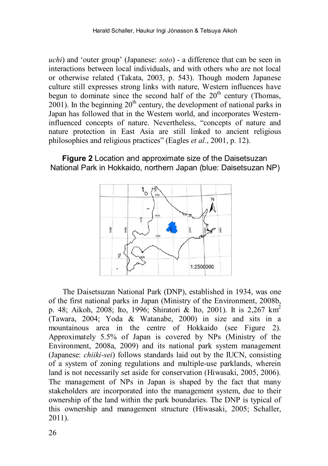*uchi*) and 'outer group' (Japanese: *soto*) - a difference that can be seen in interactions between local individuals, and with others who are not local or otherwise related [\(Takata, 2003,](#page-16-11) p. 543). Though modern Japanese culture still expresses strong links with nature, Western influences have begun to dominate since the second half of the  $20<sup>th</sup>$  century (Thomas, 2001). In the beginning  $20<sup>th</sup>$  century, the development of national parks in Japan has followed that in the Western world, and incorporates Westerninfluenced concepts of nature. Nevertheless, "concepts of nature and nature protection in East Asia are still linked to ancient religious philosophies and religious practices" [\(Eagles](#page-14-12) *et al.*, 2001, p. 12).

#### **Figure 2** Location and approximate size of the Daisetsuzan National Park in Hokkaido, northern Japan (blue: Daisetsuzan NP)



The Daisetsuzan National Park (DNP), established in 1934, was one of the first national parks in Japan [\(Ministry of the Environment, 2008b,](#page-15-12)  p. 48; [Aikoh, 2008;](#page-13-1) [Ito, 1996;](#page-14-13) [Shiratori & Ito, 2001\)](#page-16-12). It is 2,267 km2 [\(Tawara, 2004;](#page-16-13) [Yoda & Watanabe, 2000\)](#page-17-3) in size and sits in a mountainous area in the centre of Hokkaido (see Figure 2). Approximately 5.5% of Japan is covered by NPs [\(Ministry of the](#page-15-13)  [Environment, 2008a,](#page-15-13) [2009\)](#page-15-14) and its national park system management (Japanese: *chiiki-sei*) follows standards laid out by the IUCN, consisting of a system of zoning regulations and multiple-use parklands, wherein land is not necessarily set aside for conservation [\(Hiwasaki, 2005,](#page-14-14) [2006\)](#page-14-15). The management of NPs in Japan is shaped by the fact that many stakeholders are incorporated into the management system, due to their ownership of the land within the park boundaries. The DNP is typical of this ownership and management structure [\(Hiwasaki, 2005;](#page-14-14) [Schaller,](#page-16-8)  [2011\)](#page-16-8).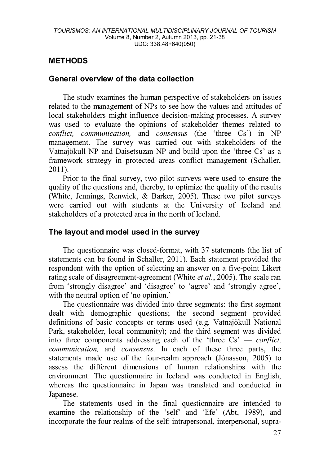## **METHODS**

### **General overview of the data collection**

The study examines the human perspective of stakeholders on issues related to the management of NPs to see how the values and attitudes of local stakeholders might influence decision-making processes. A survey was used to evaluate the opinions of stakeholder themes related to *conflict, communication,* and *consensus* (the 'three Cs') in NP management. The survey was carried out with stakeholders of the Vatnajökull NP and Daisetsuzan NP and build upon the 'three Cs' as a framework strategy in protected areas conflict management [\(Schaller,](#page-16-8) 2011).

Prior to the final survey, two pilot surveys were used to ensure the quality of the questions and, thereby, to optimize the quality of the results [\(White, Jennings, Renwick, & Barker, 2005\)](#page-17-4). These two pilot surveys were carried out with students at the University of Iceland and stakeholders of a protected area in the north of Iceland.

### **The layout and model used in the survey**

The questionnaire was closed-format, with 37 statements (the list of statements can be found in [Schaller, 2011\)](#page-16-8). Each statement provided the respondent with the option of selecting an answer on a five-point Likert rating scale of disagreement-agreement (White *et al.*[, 2005\)](#page-17-4). The scale ran from 'strongly disagree' and 'disagree' to 'agree' and 'strongly agree', with the neutral option of 'no opinion.'

The questionnaire was divided into three segments: the first segment dealt with demographic questions; the second segment provided definitions of basic concepts or terms used (e.g. Vatnajökull National Park, stakeholder, local community); and the third segment was divided into three components addressing each of the 'three Cs' — *conflict, communication,* and *consensus*. In each of these three parts, the statements made use of the four-realm approach [\(Jónasson, 2005\)](#page-14-11) to assess the different dimensions of human relationships with the environment. The questionnaire in Iceland was conducted in English, whereas the questionnaire in Japan was translated and conducted in Japanese.

The statements used in the final questionnaire are intended to examine the relationship of the 'self' and 'life' [\(Abt, 1989\)](#page-13-2), and incorporate the four realms of the self: intrapersonal, interpersonal, supra-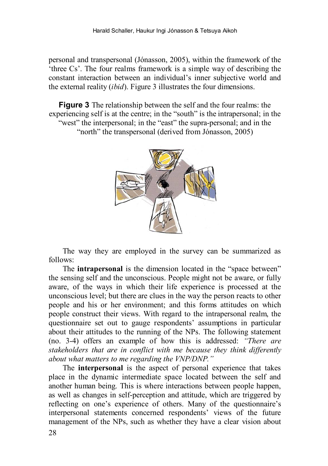personal and transpersonal [\(Jónasson, 2005\)](#page-14-11), within the framework of the 'three Cs'. The four realms framework is a simple way of describing the constant interaction between an individual's inner subjective world and the external reality (*ibid*). Figure 3 illustrates the four dimensions.

**Figure 3** The relationship between the self and the four realms: the experiencing self is at the centre; in the "south" is the intrapersonal; in the "west" the interpersonal; in the "east" the supra-personal; and in the "north" the transpersonal (derived from [Jónasson, 2005\)](#page-14-11)



The way they are employed in the survey can be summarized as follows:

The **intrapersonal** is the dimension located in the "space between" the sensing self and the unconscious. People might not be aware, or fully aware, of the ways in which their life experience is processed at the unconscious level; but there are clues in the way the person reacts to other people and his or her environment; and this forms attitudes on which people construct their views. With regard to the intrapersonal realm, the questionnaire set out to gauge respondents' assumptions in particular about their attitudes to the running of the NPs. The following statement (no. 3-4) offers an example of how this is addressed: *"There are stakeholders that are in conflict with me because they think differently about what matters to me regarding the VNP/DNP."*

The **interpersonal** is the aspect of personal experience that takes place in the dynamic intermediate space located between the self and another human being. This is where interactions between people happen, as well as changes in self-perception and attitude, which are triggered by reflecting on one's experience of others. Many of the questionnaire's interpersonal statements concerned respondents' views of the future management of the NPs, such as whether they have a clear vision about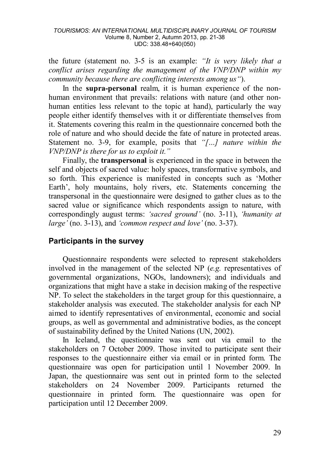the future (statement no. 3-5 is an example: *"It is very likely that a conflict arises regarding the management of the VNP/DNP within my community because there are conflicting interests among us"*).

In the **supra-personal** realm, it is human experience of the nonhuman environment that prevails: relations with nature (and other nonhuman entities less relevant to the topic at hand), particularly the way people either identify themselves with it or differentiate themselves from it. Statements covering this realm in the questionnaire concerned both the role of nature and who should decide the fate of nature in protected areas. Statement no. 3-9, for example, posits that *"[…] nature within the VNP/DNP is there for us to exploit it."*

Finally, the **transpersonal** is experienced in the space in between the self and objects of sacred value: holy spaces, transformative symbols, and so forth. This experience is manifested in concepts such as 'Mother Earth', holy mountains, holy rivers, etc. Statements concerning the transpersonal in the questionnaire were designed to gather clues as to the sacred value or significance which respondents assign to nature, with correspondingly august terms: *'sacred ground'* (no. 3-11), *'humanity at large'* (no. 3-13), and *'common respect and love'* (no. 3-37).

### **Participants in the survey**

Questionnaire respondents were selected to represent stakeholders involved in the management of the selected NP (*e.g.* representatives of governmental organizations, NGOs, landowners); and individuals and organizations that might have a stake in decision making of the respective NP. To select the stakeholders in the target group for this questionnaire, a stakeholder analysis was executed. The stakeholder analysis for each NP aimed to identify representatives of environmental, economic and social groups, as well as governmental and administrative bodies, as the concept of sustainability defined by the United Nations [\(UN, 2002\)](#page-16-14).

In Iceland, the questionnaire was sent out via email to the stakeholders on 7 October 2009. Those invited to participate sent their responses to the questionnaire either via email or in printed form. The questionnaire was open for participation until 1 November 2009. In Japan, the questionnaire was sent out in printed form to the selected stakeholders on 24 November 2009. Participants returned the questionnaire in printed form. The questionnaire was open for participation until 12 December 2009.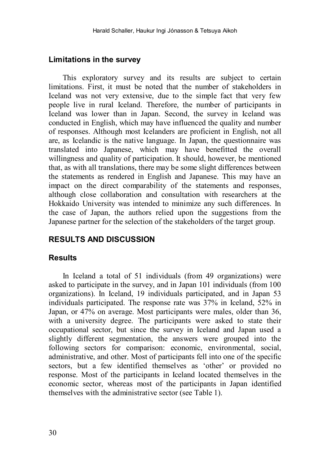#### **Limitations in the survey**

This exploratory survey and its results are subject to certain limitations. First, it must be noted that the number of stakeholders in Iceland was not very extensive, due to the simple fact that very few people live in rural Iceland. Therefore, the number of participants in Iceland was lower than in Japan. Second, the survey in Iceland was conducted in English, which may have influenced the quality and number of responses. Although most Icelanders are proficient in English, not all are, as Icelandic is the native language. In Japan, the questionnaire was translated into Japanese, which may have benefitted the overall willingness and quality of participation. It should, however, be mentioned that, as with all translations, there may be some slight differences between the statements as rendered in English and Japanese. This may have an impact on the direct comparability of the statements and responses, although close collaboration and consultation with researchers at the Hokkaido University was intended to minimize any such differences. In the case of Japan, the authors relied upon the suggestions from the Japanese partner for the selection of the stakeholders of the target group.

### **RESULTS AND DISCUSSION**

#### **Results**

In Iceland a total of 51 individuals (from 49 organizations) were asked to participate in the survey, and in Japan 101 individuals (from 100 organizations). In Iceland, 19 individuals participated, and in Japan 53 individuals participated. The response rate was 37% in Iceland, 52% in Japan, or 47% on average. Most participants were males, older than 36, with a university degree. The participants were asked to state their occupational sector, but since the survey in Iceland and Japan used a slightly different segmentation, the answers were grouped into the following sectors for comparison: economic, environmental, social, administrative, and other. Most of participants fell into one of the specific sectors, but a few identified themselves as 'other' or provided no response. Most of the participants in Iceland located themselves in the economic sector, whereas most of the participants in Japan identified themselves with the administrative sector (see Table 1).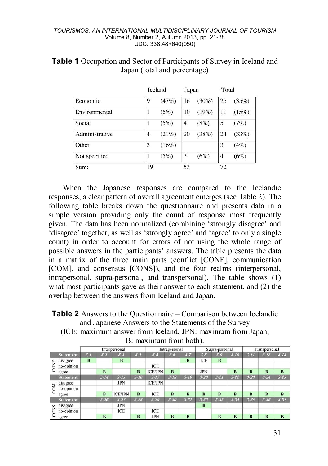#### *TOURISMOS: AN INTERNATIONAL MULTIDISCIPLINARY JOURNAL OF TOURISM* Volume 8, Number 2, Autumn 2013, pp. 21-38 UDC: 338.48+640(050)

|                | Iceland        | Japan |                | Total    |                |       |
|----------------|----------------|-------|----------------|----------|----------------|-------|
| Economic       | 9              | (47%) | 16             | $(30\%)$ | 25             | (35%) |
| Environmental  |                | (5%)  | 10             | (19%)    | 11             | (15%) |
| Social         | 1              | (5%)  | $\overline{4}$ | (8%)     | 5              | (7%)  |
| Administrative | $\overline{4}$ | (21%) | 20             | (38%)    | 24             | (33%) |
| Other          | 3              | (16%) |                |          | 3              | (4%)  |
| Not specified  | 1              | (5%)  | 3              | (6%)     | $\overline{4}$ | (6%)  |
| Sum:           | 19             |       | 53             |          | 72             |       |

#### **Table 1** Occupation and Sector of Participants of Survey in Iceland and Japan (total and percentage)

When the Japanese responses are compared to the Icelandic responses, a clear pattern of overall agreement emerges (see Table 2). The following table breaks down the questionnaire and presents data in a simple version providing only the count of response most frequently given. The data has been normalized (combining 'strongly disagree' and 'disagree' together, as well as 'strongly agree' and 'agree' to only a single count) in order to account for errors of not using the whole range of possible answers in the participants' answers. The table presents the data in a matrix of the three main parts (conflict [CONF], communication [COM], and consensus [CONS]), and the four realms (interpersonal, intrapersonal, supra-personal, and transpersonal). The table shows (1) what most participants gave as their answer to each statement, and (2) the overlap between the answers from Iceland and Japan.

**Table 2** Answers to the Questionnaire – Comparison between Icelandic and Japanese Answers to the Statements of the Survey

(ICE: maximum answer from Iceland, JPN: maximum from Japan,

|            |                  | . .     |          |                |          |                |          |                         |                |          |          |               |          |          |
|------------|------------------|---------|----------|----------------|----------|----------------|----------|-------------------------|----------------|----------|----------|---------------|----------|----------|
|            |                  |         |          | Interpersonal  |          | Intrapersonal  |          |                         | Supra-personal |          |          | Transpersonal |          |          |
|            | <b>Statement</b> | $3 - 1$ | $3 - 2$  | $3 - 3$        | $3 - 4$  | $3 - 5$        | $3 - 6$  | $3 - 7$                 | $3 - 8$        | $3-9$    | $3 - 10$ | $3 - 11$      | $3 - 12$ | $3 - 13$ |
| CON        | disagree         | B       |          | B              |          |                |          | B                       | <b>ICE</b>     | B        |          |               |          |          |
|            | no-opinion       |         |          |                |          | ICE            |          |                         |                |          |          |               |          |          |
|            | agree            |         | $\bf{B}$ |                | B        | <b>ICE/JPN</b> | B        |                         | <b>JPN</b>     |          | B        | B             | B        | B        |
|            | <b>Statement</b> |         | $3 - 14$ | $3 - 15$       | $3 - 16$ | $3 - 17$       | $3 - 18$ | $3 - 19$                | $3 - 20$       | $3 - 21$ | $3 - 22$ | $3 - 23$      | $3 - 24$ | $3 - 25$ |
| <b>COM</b> | disagree         |         |          | <b>JPN</b>     |          | <b>ICE/JPN</b> |          |                         |                |          |          |               |          |          |
|            | no-opinion       |         |          |                |          |                |          |                         |                |          |          |               |          |          |
|            | agree            |         | B        | <b>ICE/JPN</b> | B        | ICE            | B        | $\bf{B}$                | B              | B        | $\bf{B}$ | B             | B        | $\bf{B}$ |
| S<br>CON   | <b>Statement</b> |         | $3 - 26$ | $3 - 27$       | $3 - 28$ | $3 - 29$       | $3 - 30$ | $3 - 31$                | $3 - 32$       | $3 - 33$ | $3 - 34$ | $3 - 35$      | $3 - 36$ | $3 - 37$ |
|            | disagree         |         |          | <b>JPN</b>     |          |                |          |                         | B              |          |          |               |          |          |
|            | no-opinion       |         |          | ICE            |          | ICE            |          |                         |                |          |          |               |          |          |
|            | agree            |         | B        |                | B        | <b>JPN</b>     | B        | $\overline{\mathbf{B}}$ |                | B        | $\bf{B}$ | B             | $\bf{B}$ | B        |

B: maximum from both).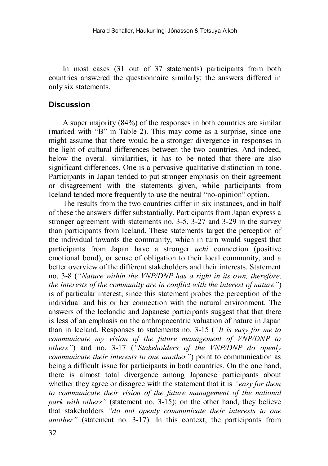In most cases (31 out of 37 statements) participants from both countries answered the questionnaire similarly; the answers differed in only six statements.

#### **Discussion**

A super majority (84%) of the responses in both countries are similar (marked with "B" in Table 2). This may come as a surprise, since one might assume that there would be a stronger divergence in responses in the light of cultural differences between the two countries. And indeed, below the overall similarities, it has to be noted that there are also significant differences. One is a pervasive qualitative distinction in tone. Participants in Japan tended to put stronger emphasis on their agreement or disagreement with the statements given, while participants from Iceland tended more frequently to use the neutral "no-opinion" option.

The results from the two countries differ in six instances, and in half of these the answers differ substantially. Participants from Japan express a stronger agreement with statements no. 3-5, 3-27 and 3-29 in the survey than participants from Iceland. These statements target the perception of the individual towards the community, which in turn would suggest that participants from Japan have a stronger *uchi* connection (positive emotional bond), or sense of obligation to their local community, and a better overview of the different stakeholders and their interests. Statement no. 3-8 (*"Nature within the VNP/DNP has a right in its own, therefore, the interests of the community are in conflict with the interest of nature"*) is of particular interest, since this statement probes the perception of the individual and his or her connection with the natural environment. The answers of the Icelandic and Japanese participants suggest that that there is less of an emphasis on the anthropocentric valuation of nature in Japan than in Iceland. Responses to statements no. 3-15 (*"It is easy for me to communicate my vision of the future management of VNP/DNP to others"*) and no. 3-17 (*"Stakeholders of the VNP/DNP do openly communicate their interests to one another"*) point to communication as being a difficult issue for participants in both countries. On the one hand, there is almost total divergence among Japanese participants about whether they agree or disagree with the statement that it is *"easy for them to communicate their vision of the future management of the national park with others"* (statement no. 3-15); on the other hand, they believe that stakeholders *"do not openly communicate their interests to one another"* (statement no. 3-17). In this context, the participants from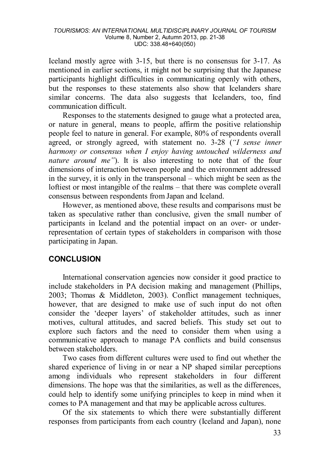Iceland mostly agree with 3-15, but there is no consensus for 3-17. As mentioned in earlier sections, it might not be surprising that the Japanese participants highlight difficulties in communicating openly with others, but the responses to these statements also show that Icelanders share similar concerns. The data also suggests that Icelanders, too, find communication difficult.

Responses to the statements designed to gauge what a protected area, or nature in general, means to people, affirm the positive relationship people feel to nature in general. For example, 80% of respondents overall agreed, or strongly agreed, with statement no. 3-28 (*"I sense inner harmony or consensus when I enjoy having untouched wilderness and nature around me"*). It is also interesting to note that of the four dimensions of interaction between people and the environment addressed in the survey, it is only in the transpersonal – which might be seen as the loftiest or most intangible of the realms – that there was complete overall consensus between respondents from Japan and Iceland.

However, as mentioned above, these results and comparisons must be taken as speculative rather than conclusive, given the small number of participants in Iceland and the potential impact on an over- or underrepresentation of certain types of stakeholders in comparison with those participating in Japan.

### **CONCLUSION**

International conservation agencies now consider it good practice to include stakeholders in PA decision making and management [\(Phillips,](#page-16-0)  [2003;](#page-16-0) [Thomas & Middleton, 2003\)](#page-16-3). Conflict management techniques, however, that are designed to make use of such input do not often consider the 'deeper layers' of stakeholder attitudes, such as inner motives, cultural attitudes, and sacred beliefs. This study set out to explore such factors and the need to consider them when using a communicative approach to manage PA conflicts and build consensus between stakeholders.

Two cases from different cultures were used to find out whether the shared experience of living in or near a NP shaped similar perceptions among individuals who represent stakeholders in four different dimensions. The hope was that the similarities, as well as the differences, could help to identify some unifying principles to keep in mind when it comes to PA management and that may be applicable across cultures.

Of the six statements to which there were substantially different responses from participants from each country (Iceland and Japan), none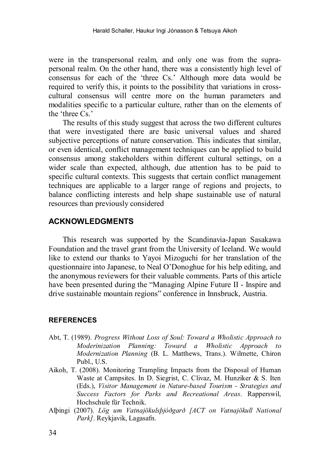were in the transpersonal realm, and only one was from the suprapersonal realm. On the other hand, there was a consistently high level of consensus for each of the 'three Cs.' Although more data would be required to verify this, it points to the possibility that variations in crosscultural consensus will centre more on the human parameters and modalities specific to a particular culture, rather than on the elements of the 'three Cs.'

The results of this study suggest that across the two different cultures that were investigated there are basic universal values and shared subjective perceptions of nature conservation. This indicates that similar, or even identical, conflict management techniques can be applied to build consensus among stakeholders within different cultural settings, on a wider scale than expected, although, due attention has to be paid to specific cultural contexts. This suggests that certain conflict management techniques are applicable to a larger range of regions and projects, to balance conflicting interests and help shape sustainable use of natural resources than previously considered

#### **ACKNOWLEDGMENTS**

This research was supported by the Scandinavia-Japan Sasakawa Foundation and the travel grant from the University of Iceland. We would like to extend our thanks to Yayoi Mizoguchi for her translation of the questionnaire into Japanese, to Neal O'Donoghue for his help editing, and the anonymous reviewers for their valuable comments. Parts of this article have been presented during the "Managing Alpine Future II - Inspire and drive sustainable mountain regions" conference in Innsbruck, Austria.

#### **REFERENCES**

- <span id="page-13-2"></span>Abt, T. (1989). *Progress Without Loss of Soul: Toward a Wholistic Approach to Moderinization Planning: Toward a Wholistic Approach to Modernization Planning* (B. L. Matthews, Trans.). Wilmette, Chiron Publ., U.S.
- <span id="page-13-1"></span>Aikoh, T. (2008). Monitoring Trampling Impacts from the Disposal of Human Waste at Campsites. In D. Siegrist, C. Clivaz, M. Hunziker & S. Iten (Eds.), *Visitor Management in Nature-based Tourism - Strategies and Success Factors for Parks and Recreational Areas*. Rapperswil, Hochschule für Technik.
- <span id="page-13-0"></span>Alþingi (2007). *Lög um Vatnajökulsþjóðgarð [ACT on Vatnajökull National Park]*. Reykjavik, Lagasafn.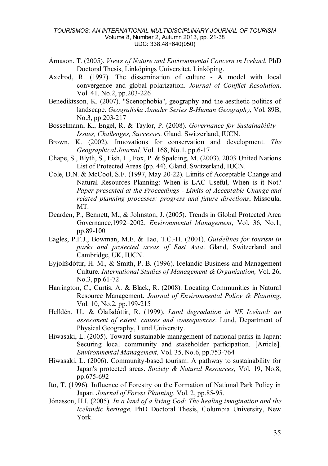#### *TOURISMOS: AN INTERNATIONAL MULTIDISCIPLINARY JOURNAL OF TOURISM* Volume 8, Number 2, Autumn 2013, pp. 21-38 UDC: 338.48+640(050)

- <span id="page-14-8"></span>Árnason, T. (2005). *Views of Nature and Environmental Concern in Iceland.* PhD Doctoral Thesis, Linköpings Universitet, Linköping.
- <span id="page-14-6"></span>Axelrod, R. (1997). The dissemination of culture - A model with local convergence and global polarization. *Journal of Conflict Resolution,*  Vol. 41, No.2, pp.203-226
- <span id="page-14-9"></span>Benediktsson, K. (2007). "Scenophobia", geography and the aesthetic politics of landscape. *Geografiska Annaler Series B-Human Geography,* Vol. 89B, No.3, pp.203-217
- <span id="page-14-4"></span>Bosselmann, K., Engel, R. & Taylor, P. (2008). *Governance for Sustainability – Issues, Challenges, Successes.* Gland. Switzerland, IUCN.
- <span id="page-14-3"></span>Brown, K. (2002). Innovations for conservation and development. *The Geographical Journal,* Vol. 168, No.1, pp.6-17
- <span id="page-14-0"></span>Chape, S., Blyth, S., Fish, L., Fox, P. & Spalding, M. (2003). 2003 United Nations List of Protected Areas (pp. 44). Gland. Switzerland, IUCN.
- <span id="page-14-5"></span>Cole, D.N. & McCool, S.F. (1997, May 20-22). Limits of Acceptable Change and Natural Resources Planning: When is LAC Useful, When is it Not? *Paper presented at the Proceedings - Limits of Acceptable Change and related planning processes: progress and future directions*, Missoula, MT.
- <span id="page-14-1"></span>Dearden, P., Bennett, M., & Johnston, J. (2005). Trends in Global Protected Area Governance,1992–2002. *Environmental Management,* Vol. 36, No.1, pp.89-100
- <span id="page-14-12"></span>Eagles, P.F.J., Bowman, M.E. & Tao, T.C.-H. (2001). *Guidelines for tourism in parks and protected areas of East Asia*. Gland, Switzerland and Cambridge, UK, IUCN.
- <span id="page-14-10"></span>Eyjolfsdóttir, H. M., & Smith, P. B. (1996). Icelandic Business and Management Culture. *International Studies of Management & Organization,* Vol. 26, No.3, pp.61-72
- <span id="page-14-2"></span>Harrington, C., Curtis, A. & Black, R. (2008). Locating Communities in Natural Resource Management. *Journal of Environmental Policy & Planning,*  Vol. 10, No.2, pp.199-215
- <span id="page-14-7"></span>Helldén, U., & Ólafsdóttir, R. (1999). *Land degradation in NE Iceland: an assessment of extent, causes and consequences*. Lund, Department of Physical Geography, Lund University.
- <span id="page-14-14"></span>Hiwasaki, L. (2005). Toward sustainable management of national parks in Japan: Securing local community and stakeholder participation. [Article]. *Environmental Management,* Vol. 35, No.6, pp.753-764
- <span id="page-14-15"></span>Hiwasaki, L. (2006). Community-based tourism: A pathway to sustainability for Japan's protected areas. *Society & Natural Resources,* Vol. 19, No.8, pp.675-692
- <span id="page-14-13"></span>Ito, T. (1996). Influence of Forestry on the Formation of National Park Policy in Japan. *Journal of Forest Planning.* Vol. 2, pp.85-95.
- <span id="page-14-11"></span>Jónasson, H.I. (2005). *In a land of a living God: The healing imagination and the Icelandic heritage.* PhD Doctoral Thesis, Columbia University, New York.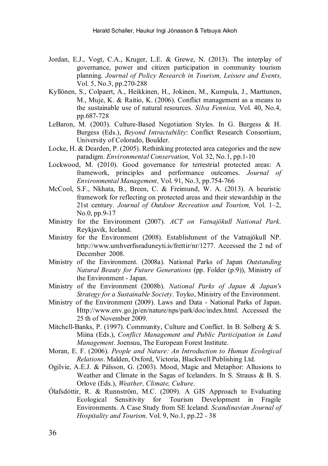- <span id="page-15-4"></span>Jordan, E.J., Vogt, C.A., Kruger, L.E. & Grewe, N. (2013). The interplay of governance, power and citizen participation in community tourism planning. *Journal of Policy Research in Tourism, Leisure and Events,*  Vol. 5, No.3, pp.270-288
- <span id="page-15-5"></span>Kyllönen, S., Colpaert, A., Heikkinen, H., Jokinen, M., Kumpula, J., Marttunen, M., Muje, K. & Raitio, K. (2006). Conflict management as a means to the sustainable use of natural resources. *Silva Fennica,* Vol. 40, No.4, pp.687-728
- <span id="page-15-6"></span>LeBaron, M. (2003). Culture-Based Negotiation Styles. In G. Burgess & H. Burgess (Eds.), *Beyond Intractability*: Conflict Research Consortium, University of Colorado, Boulder.
- <span id="page-15-1"></span>Locke, H. & Dearden, P. (2005). Rethinking protected area categories and the new paradigm. *Environmental Conservation,* Vol. 32, No.1, pp.1-10
- <span id="page-15-3"></span>Lockwood, M. (2010). Good governance for terrestrial protected areas: A framework, principles and performance outcomes. *Journal of Environmental Management,* Vol. 91, No.3, pp.754-766
- <span id="page-15-2"></span>McCool, S.F., Nkhata, B., Breen, C. & Freimund, W. A. (2013). A heuristic framework for reflecting on protected areas and their stewardship in the 21st century. *Journal of Outdoor Recreation and Tourism,* Vol. 1–2, No.0, pp.9-17
- <span id="page-15-11"></span>Ministry for the Environment (2007). *ACT on Vatnajökull National Park*. Reykjavik, Iceland.
- <span id="page-15-10"></span>Ministry for the Environment (2008). Establishment of the Vatnajökull NP. http://www.umhverfisraduneyti.is/frettir/nr/1277. Accessed the 2 nd of December 2008.
- <span id="page-15-13"></span>Ministry of the Environment. (2008a). National Parks of Japan *Outstanding Natural Beauty for Future Generations* (pp. Folder (p.9)), Ministry of the Environment - Japan.
- <span id="page-15-12"></span>Ministry of the Environment (2008b). *National Parks of Japan & Japan's Strategy for a Sustainable Society*. Toyko, Ministry of the Environment.
- <span id="page-15-14"></span>Ministry of the Environment (2009). Laws and Data - National Parks of Japan. Http://www.env.go.jp/en/nature/nps/park/doc/index.html. Accessed the 25 th of November 2009.
- <span id="page-15-7"></span>Mitchell-Banks, P. (1997). Community, Culture and Conflict. In B. Solberg & S. Miina (Eds.), *Conflict Management and Public Participation in Land Management*. Joensuu, The European Forest Institute.
- <span id="page-15-0"></span>Moran, E. F. (2006). *People and Nature: An Introduction to Human Ecological Relations*. Malden, Oxford, Victoria, Blackwell Publishing Ltd.
- <span id="page-15-8"></span>Ogilvie, A.E.J. & Pálsson, G. (2003). Mood, Magic and Metaphor: Allusions to Weather and Climate in the Sagas of Icelanders. In S. Strauss & B. S. Orlove (Eds.), *Weather, Climate, Culture*.
- <span id="page-15-9"></span>Ólafsdóttir, R. & Runnström, M.C. (2009). A GIS Approach to Evaluating Ecological Sensitivity for Tourism Development in Fragile Environments. A Case Study from SE Iceland. *Scandinavian Journal of Hospitality and Tourism,* Vol. 9, No.1, pp.22 - 38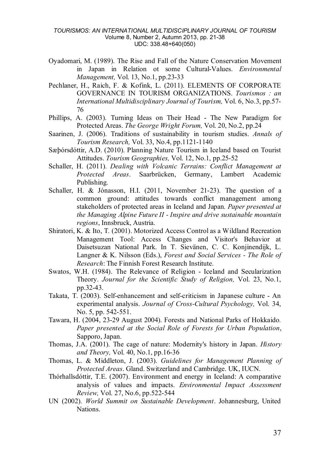#### *TOURISMOS: AN INTERNATIONAL MULTIDISCIPLINARY JOURNAL OF TOURISM* Volume 8, Number 2, Autumn 2013, pp. 21-38 UDC: 338.48+640(050)

- <span id="page-16-10"></span>Oyadomari, M. (1989). The Rise and Fall of the Nature Conservation Movement in Japan in Relation ot some Cultural-Values. *Environmental Management,* Vol. 13, No.1, pp.23-33
- <span id="page-16-4"></span>Pechlaner, H., Raich, F. & Kofink, L. (2011). ELEMENTS OF CORPORATE GOVERNANCE IN TOURISM ORGANIZATIONS. *Tourismos : an International Multidisciplinary Journal of Tourism,* Vol. 6, No.3, pp.57- 76
- <span id="page-16-0"></span>Phillips, A. (2003). Turning Ideas on Their Head - The New Paradigm for Protected Areas. *The George Wright Forum,* Vol. 20, No.2, pp.24
- <span id="page-16-1"></span>Saarinen, J. (2006). Traditions of sustainability in tourism studies. *Annals of Tourism Research,* Vol. 33, No.4, pp.1121-1140
- <span id="page-16-6"></span>Sæþórsdóttir, A.D. (2010). Planning Nature Tourism in Iceland based on Tourist Attitudes. *Tourism Geographies,* Vol. 12, No.1, pp.25-52
- <span id="page-16-8"></span>Schaller, H. (2011). *Dealing with Volcanic Terrains: Conflict Management at Protected Areas*. Saarbrücken, Germany, Lambert Academic Publishing.
- <span id="page-16-2"></span>Schaller, H. & Jónasson, H.I. (2011, November 21-23). The question of a common ground: attitudes towards conflict management among stakeholders of protected areas in Iceland and Japan*. Paper presented at the Managing Alpine Future II - Inspire and drive sustainable mountain regions*, Innsbruck, Austria.
- <span id="page-16-12"></span>Shiratori, K. & Ito, T. (2001). Motorized Access Control as a Wildland Recreation Management Tool: Access Changes and Visitor's Behavior at Daisetsuzan National Park. In T. Sievänen, C. C. Konjinendijk, L. Langner & K. Nilsson (Eds.), *Forest and Social Services - The Role of Research*: The Finnish Forest Research Institute.
- <span id="page-16-7"></span>Swatos, W.H. (1984). The Relevance of Religion - Iceland and Secularization Theory. *Journal for the Scientific Study of Religion,* Vol. 23, No.1, pp.32-43.
- <span id="page-16-11"></span>Takata, T. (2003). Self-enhancement and self-criticism in Japanese culture - An experimental analysis. *Journal of Cross-Cultural Psychology,* Vol. 34, No. 5, pp. 542-551.
- <span id="page-16-13"></span>Tawara, H. (2004, 23-29 August 2004). Forests and National Parks of Hokkaido*. Paper presented at the Social Role of Forests for Urban Population*, Sapporo, Japan.
- <span id="page-16-9"></span>Thomas, J.A. (2001). The cage of nature: Modernity's history in Japan. *History and Theory,* Vol. 40, No.1, pp.16-36
- <span id="page-16-3"></span>Thomas, L. & Middleton, J. (2003). *Guidelines for Management Planning of Protected Areas*. Gland. Switzerland and Cambridge. UK, IUCN.
- <span id="page-16-5"></span>Thórhallsdóttir, T.E. (2007). Environment and energy in Iceland: A comparative analysis of values and impacts. *Environmental Impact Assessment Review,* Vol. 27, No.6, pp.522-544
- <span id="page-16-14"></span>UN (2002). *World Summit on Sustainable Development*. Johannesburg, United Nations.